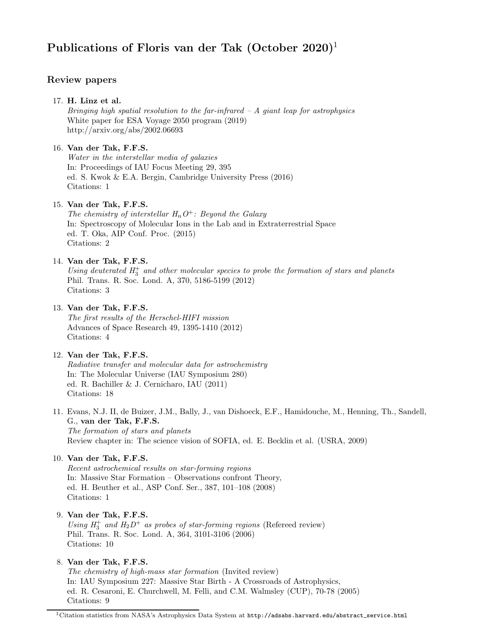# Publications of Floris van der Tak  $(October 2020)^1$

# Review papers

# 17. H. Linz et al.

Bringing high spatial resolution to the far-infrared  $-A$  giant leap for astrophysics White paper for ESA Voyage 2050 program (2019) http://arxiv.org/abs/2002.06693

# 16. Van der Tak, F.F.S.

Water in the interstellar media of galaxies In: Proceedings of IAU Focus Meeting 29, 395 ed. S. Kwok & E.A. Bergin, Cambridge University Press (2016) Citations: 1

# 15. Van der Tak, F.F.S.

The chemistry of interstellar  $H_nO^+$ : Beyond the Galaxy In: Spectroscopy of Molecular Ions in the Lab and in Extraterrestrial Space ed. T. Oka, AIP Conf. Proc. (2015) Citations: 2

# 14. Van der Tak, F.F.S.

Using deuterated  $H_3^+$  and other molecular species to probe the formation of stars and planets Phil. Trans. R. Soc. Lond. A, 370, 5186-5199 (2012) Citations: 3

## 13. Van der Tak, F.F.S.

The first results of the Herschel-HIFI mission Advances of Space Research 49, 1395-1410 (2012) Citations: 4

# 12. Van der Tak, F.F.S.

Radiative transfer and molecular data for astrochemistry In: The Molecular Universe (IAU Symposium 280) ed. R. Bachiller & J. Cernicharo, IAU (2011) Citations: 18

11. Evans, N.J. II, de Buizer, J.M., Bally, J., van Dishoeck, E.F., Hamidouche, M., Henning, Th., Sandell, G., van der Tak, F.F.S. The formation of stars and planets

Review chapter in: The science vision of SOFIA, ed. E. Becklin et al. (USRA, 2009)

## 10. Van der Tak, F.F.S.

Recent astrochemical results on star-forming regions In: Massive Star Formation – Observations confront Theory, ed. H. Beuther et al., ASP Conf. Ser., 387, 101–108 (2008) Citations: 1

## 9. Van der Tak, F.F.S.

Using  $H_3^+$  and  $H_2D^+$  as probes of star-forming regions (Refereed review) Phil. Trans. R. Soc. Lond. A, 364, 3101-3106 (2006) Citations: 10

# 8. Van der Tak, F.F.S.

The chemistry of high-mass star formation (Invited review) In: IAU Symposium 227: Massive Star Birth - A Crossroads of Astrophysics, ed. R. Cesaroni, E. Churchwell, M. Felli, and C.M. Walmsley (CUP), 70-78 (2005) Citations: 9

<sup>&</sup>lt;sup>1</sup>Citation statistics from NASA's Astrophysics Data System at  $http://adsabs.harvard.edu/abstract\_service.html$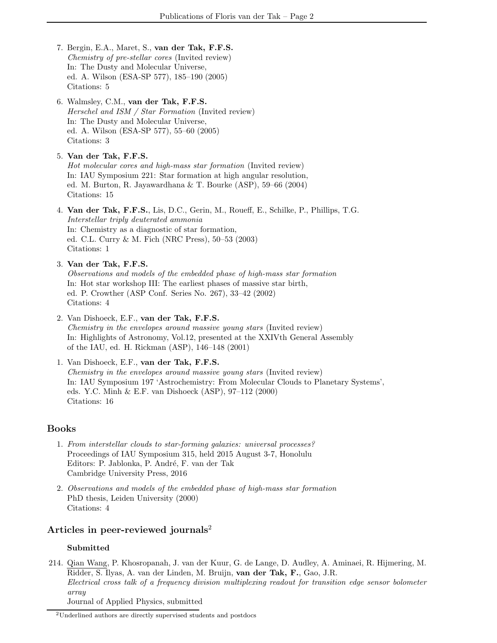- 7. Bergin, E.A., Maret, S., van der Tak, F.F.S. Chemistry of pre-stellar cores (Invited review) In: The Dusty and Molecular Universe, ed. A. Wilson (ESA-SP 577), 185–190 (2005) Citations: 5
- 6. Walmsley, C.M., van der Tak, F.F.S. Herschel and ISM / Star Formation (Invited review) In: The Dusty and Molecular Universe, ed. A. Wilson (ESA-SP 577), 55–60 (2005) Citations: 3
- 5. Van der Tak, F.F.S. Hot molecular cores and high-mass star formation (Invited review) In: IAU Symposium 221: Star formation at high angular resolution, ed. M. Burton, R. Jayawardhana & T. Bourke (ASP), 59–66 (2004) Citations: 15
- 4. Van der Tak, F.F.S., Lis, D.C., Gerin, M., Roueff, E., Schilke, P., Phillips, T.G. Interstellar triply deuterated ammonia In: Chemistry as a diagnostic of star formation, ed. C.L. Curry & M. Fich (NRC Press), 50–53 (2003) Citations: 1
- 3. Van der Tak, F.F.S. Observations and models of the embedded phase of high-mass star formation In: Hot star workshop III: The earliest phases of massive star birth, ed. P. Crowther (ASP Conf. Series No. 267), 33–42 (2002) Citations: 4
- 2. Van Dishoeck, E.F., van der Tak, F.F.S. Chemistry in the envelopes around massive young stars (Invited review) In: Highlights of Astronomy, Vol.12, presented at the XXIVth General Assembly of the IAU, ed. H. Rickman (ASP), 146–148 (2001)
- 1. Van Dishoeck, E.F., van der Tak, F.F.S. Chemistry in the envelopes around massive young stars (Invited review) In: IAU Symposium 197 'Astrochemistry: From Molecular Clouds to Planetary Systems', eds. Y.C. Minh & E.F. van Dishoeck (ASP), 97–112 (2000) Citations: 16

## Books

- 1. From interstellar clouds to star-forming galaxies: universal processes? Proceedings of IAU Symposium 315, held 2015 August 3-7, Honolulu Editors: P. Jablonka, P. André, F. van der Tak Cambridge University Press, 2016
- 2. Observations and models of the embedded phase of high-mass star formation PhD thesis, Leiden University (2000) Citations: 4

# Articles in peer-reviewed journals<sup>2</sup>

### Submitted

214. Qian Wang, P. Khosropanah, J. van der Kuur, G. de Lange, D. Audley, A. Aminaei, R. Hijmering, M. Ridder, S. Ilyas, A. van der Linden, M. Bruijn, van der Tak, F., Gao, J.R. Electrical cross talk of a frequency division multiplexing readout for transition edge sensor bolometer array Journal of Applied Physics, submitted

<sup>2</sup>Underlined authors are directly supervised students and postdocs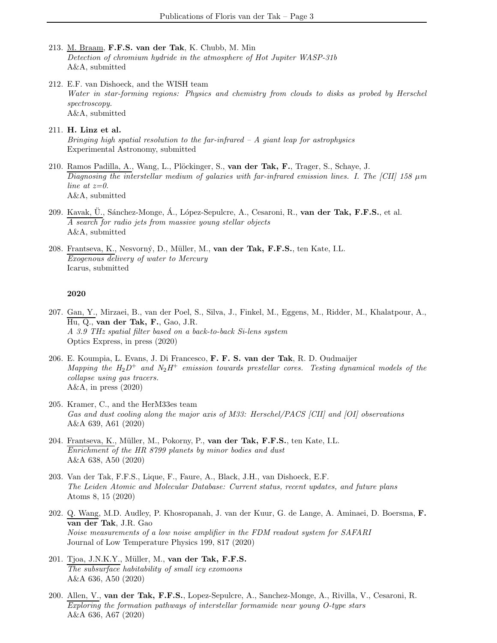- 213. M. Braam, F.F.S. van der Tak, K. Chubb, M. Min Detection of chromium hydride in the atmosphere of Hot Jupiter WASP-31b A&A, submitted
- 212. E.F. van Dishoeck, and the WISH team Water in star-forming regions: Physics and chemistry from clouds to disks as probed by Herschel spectroscopy. A&A, submitted
- 211. H. Linz et al. Bringing high spatial resolution to the far-infrared  $-A$  giant leap for astrophysics Experimental Astronomy, submitted
- 210. Ramos Padilla, A., Wang, L., Plöckinger, S., van der Tak, F., Trager, S., Schaye, J. Diagnosing the interstellar medium of galaxies with far-infrared emission lines. I. The [CII] 158  $\mu$ m line at  $z=0$ . A&A, submitted
- 209. Kavak, U., Sánchez-Monge, Á., López-Sepulcre, A., Cesaroni, R.,  $\mathbf{van}$  der Tak, F.F.S., et al. A search for radio jets from massive young stellar objects A&A, submitted
- 208. Frantseva, K., Nesvorný, D., Müller, M., van der Tak, F.F.S., ten Kate, I.L. Exogenous delivery of water to Mercury Icarus, submitted

- 207. Gan, Y., Mirzaei, B., van der Poel, S., Silva, J., Finkel, M., Eggens, M., Ridder, M., Khalatpour, A., Hu, Q., van der Tak, F., Gao, J.R. A 3.9 THz spatial filter based on a back-to-back Si-lens system Optics Express, in press (2020)
- 206. E. Koumpia, L. Evans, J. Di Francesco, F. F. S. van der Tak, R. D. Oudmaijer Mapping the  $H_2D^+$  and  $N_2H^+$  emission towards prestellar cores. Testing dynamical models of the collapse using gas tracers. A&A, in press (2020)
- 205. Kramer, C., and the HerM33es team Gas and dust cooling along the major axis of M33: Herschel/PACS [CII] and [OI] observations A&A 639, A61 (2020)
- 204. Frantseva, K., Müller, M., Pokorny, P., van der Tak, F.F.S., ten Kate, I.L. Enrichment of the HR 8799 planets by minor bodies and dust A&A 638, A50 (2020)
- 203. Van der Tak, F.F.S., Lique, F., Faure, A., Black, J.H., van Dishoeck, E.F. The Leiden Atomic and Molecular Database: Current status, recent updates, and future plans Atoms 8, 15 (2020)
- 202. Q. Wang, M.D. Audley, P. Khosropanah, J. van der Kuur, G. de Lange, A. Aminaei, D. Boersma, F. van der Tak, J.R. Gao Noise measurements of a low noise amplifier in the FDM readout system for SAFARI Journal of Low Temperature Physics 199, 817 (2020)
- 201. Tjoa, J.N.K.Y., Müller, M., van der Tak, F.F.S. The subsurface habitability of small icy exomoons A&A 636, A50 (2020)
- 200. Allen, V., van der Tak, F.F.S., Lopez-Sepulcre, A., Sanchez-Monge, A., Rivilla, V., Cesaroni, R. Exploring the formation pathways of interstellar formamide near young O-type stars A&A 636, A67 (2020)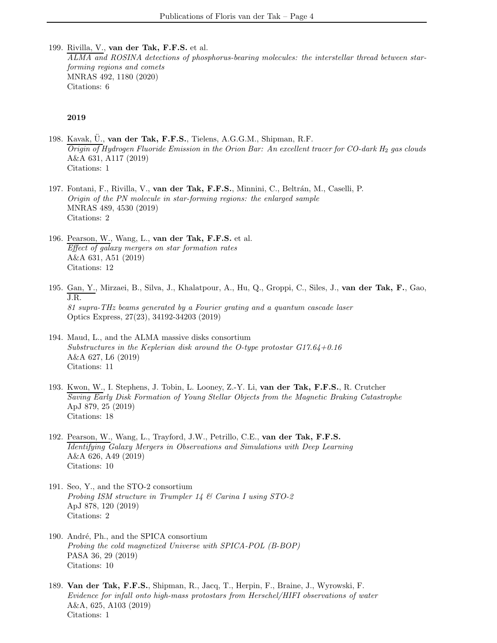199. Rivilla, V., van der Tak, F.F.S. et al. ALMA and ROSINA detections of phosphorus-bearing molecules: the interstellar thread between starforming regions and comets MNRAS 492, 1180 (2020) Citations: 6

- 198. Kavak, Ü., van der Tak, F.F.S., Tielens, A.G.G.M., Shipman, R.F.  $O$ rigin of Hydrogen Fluoride Emission in the Orion Bar: An excellent tracer for CO-dark H<sub>2</sub> gas clouds A&A 631, A117 (2019) Citations: 1
- 197. Fontani, F., Rivilla, V., van der Tak, F.F.S., Minnini, C., Beltrán, M., Caselli, P. Origin of the PN molecule in star-forming regions: the enlarged sample MNRAS 489, 4530 (2019) Citations: 2
- 196. Pearson, W., Wang, L., van der Tak, F.F.S. et al. Effect of galaxy mergers on star formation rates A&A 631, A51 (2019) Citations: 12
- 195. Gan, Y., Mirzaei, B., Silva, J., Khalatpour, A., Hu, Q., Groppi, C., Siles, J., van der Tak, F., Gao, J.R. 81 supra-THz beams generated by a Fourier grating and a quantum cascade laser Optics Express, 27(23), 34192-34203 (2019)
- 194. Maud, L., and the ALMA massive disks consortium Substructures in the Keplerian disk around the O-type protostar  $G17.64+0.16$ A&A 627, L6 (2019) Citations: 11
- 193. Kwon, W., I. Stephens, J. Tobin, L. Looney, Z.-Y. Li, van der Tak, F.F.S., R. Crutcher Saving Early Disk Formation of Young Stellar Objects from the Magnetic Braking Catastrophe ApJ 879, 25 (2019) Citations: 18
- 192. Pearson, W., Wang, L., Trayford, J.W., Petrillo, C.E., van der Tak, F.F.S. Identifying Galaxy Mergers in Observations and Simulations with Deep Learning A&A 626, A49 (2019) Citations: 10
- 191. Seo, Y., and the STO-2 consortium Probing ISM structure in Trumpler 14 & Carina I using STO-2 ApJ 878, 120 (2019) Citations: 2
- 190. André, Ph., and the SPICA consortium Probing the cold magnetized Universe with SPICA-POL (B-BOP) PASA 36, 29 (2019) Citations: 10
- 189. Van der Tak, F.F.S., Shipman, R., Jacq, T., Herpin, F., Braine, J., Wyrowski, F. Evidence for infall onto high-mass protostars from Herschel/HIFI observations of water A&A, 625, A103 (2019) Citations: 1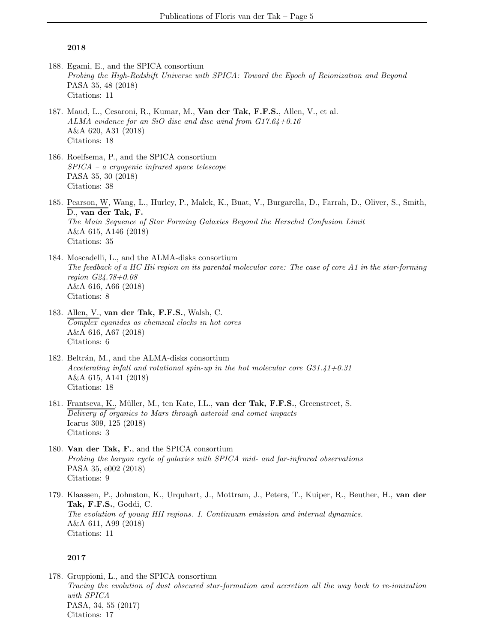- 188. Egami, E., and the SPICA consortium Probing the High-Redshift Universe with SPICA: Toward the Epoch of Reionization and Beyond PASA 35, 48 (2018) Citations: 11
- 187. Maud, L., Cesaroni, R., Kumar, M., Van der Tak, F.F.S., Allen, V., et al. ALMA evidence for an SiO disc and disc wind from G17.64+0.16 A&A 620, A31 (2018) Citations: 18
- 186. Roelfsema, P., and the SPICA consortium SPICA – a cryogenic infrared space telescope PASA 35, 30 (2018) Citations: 38
- 185. Pearson, W, Wang, L., Hurley, P., Malek, K., Buat, V., Burgarella, D., Farrah, D., Oliver, S., Smith, D., van der Tak, F. The Main Sequence of Star Forming Galaxies Beyond the Herschel Confusion Limit A&A 615, A146 (2018) Citations: 35
- 184. Moscadelli, L., and the ALMA-disks consortium The feedback of a HC Hii region on its parental molecular core: The case of core A1 in the star-forming region G24.78+0.08 A&A 616, A66 (2018) Citations: 8
- 183. Allen, V., van der Tak, F.F.S., Walsh, C. Complex cyanides as chemical clocks in hot cores A&A 616, A67 (2018) Citations: 6
- 182. Beltrán, M., and the ALMA-disks consortium Accelerating infall and rotational spin-up in the hot molecular core G31.41+0.31 A&A 615, A141 (2018) Citations: 18
- 181. Frantseva, K., Müller, M., ten Kate, I.L., van der Tak, F.F.S., Greenstreet, S. Delivery of organics to Mars through asteroid and comet impacts Icarus 309, 125 (2018) Citations: 3
- 180. Van der Tak, F., and the SPICA consortium Probing the baryon cycle of galaxies with SPICA mid- and far-infrared observations PASA 35, e002 (2018) Citations: 9
- 179. Klaassen, P., Johnston, K., Urquhart, J., Mottram, J., Peters, T., Kuiper, R., Beuther, H., van der Tak, F.F.S., Goddi, C. The evolution of young HII regions. I. Continuum emission and internal dynamics. A&A 611, A99 (2018) Citations: 11

### 2017

178. Gruppioni, L., and the SPICA consortium Tracing the evolution of dust obscured star-formation and accretion all the way back to re-ionization with SPICA PASA, 34, 55 (2017) Citations: 17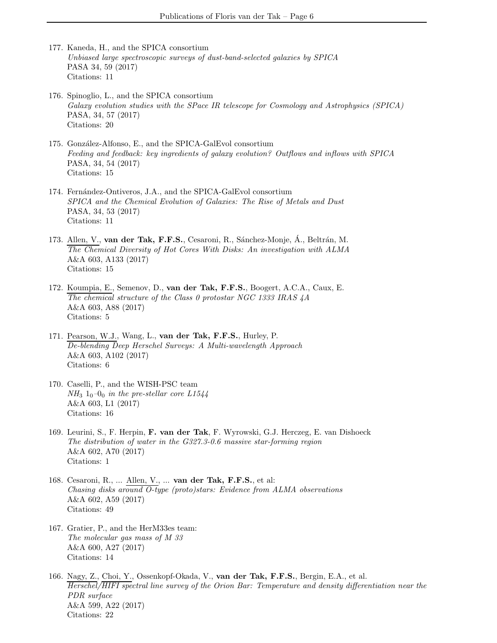- 177. Kaneda, H., and the SPICA consortium Unbiased large spectroscopic surveys of dust-band-selected galaxies by SPICA PASA 34, 59 (2017) Citations: 11
- 176. Spinoglio, L., and the SPICA consortium Galaxy evolution studies with the SPace IR telescope for Cosmology and Astrophysics (SPICA) PASA, 34, 57 (2017) Citations: 20
- 175. González-Alfonso, E., and the SPICA-GalEvol consortium Feeding and feedback: key ingredients of galaxy evolution? Outflows and inflows with SPICA PASA, 34, 54 (2017) Citations: 15
- 174. Fernández-Ontiveros, J.A., and the SPICA-GalEvol consortium SPICA and the Chemical Evolution of Galaxies: The Rise of Metals and Dust PASA, 34, 53 (2017) Citations: 11
- 173. Allen, V., van der Tak, F.F.S., Cesaroni, R., Sánchez-Monje, Á., Beltrán, M. The Chemical Diversity of Hot Cores With Disks: An investigation with ALMA A&A 603, A133 (2017) Citations: 15
- 172. Koumpia, E., Semenov, D., van der Tak, F.F.S., Boogert, A.C.A., Caux, E. The chemical structure of the Class 0 protostar NGC 1333 IRAS 4A A&A 603, A88 (2017) Citations: 5
- 171. Pearson, W.J., Wang, L., van der Tak, F.F.S., Hurley, P. De-blending Deep Herschel Surveys: A Multi-wavelength Approach A&A 603, A102 (2017) Citations: 6
- 170. Caselli, P., and the WISH-PSC team  $NH_3$  1<sub>0</sub>–0<sub>0</sub> in the pre-stellar core L1544 A&A 603, L1 (2017) Citations: 16
- 169. Leurini, S., F. Herpin, F. van der Tak, F. Wyrowski, G.J. Herczeg, E. van Dishoeck The distribution of water in the G327.3-0.6 massive star-forming region A&A 602, A70 (2017) Citations: 1
- 168. Cesaroni, R., ... Allen, V., ... van der Tak, F.F.S., et al: Chasing disks around O-type (proto)stars: Evidence from ALMA observations A&A 602, A59 (2017) Citations: 49
- 167. Gratier, P., and the HerM33es team: The molecular gas mass of M 33 A&A 600, A27 (2017) Citations: 14
- 166. Nagy, Z., Choi, Y., Ossenkopf-Okada, V., van der Tak, F.F.S., Bergin, E.A., et al. Herschel/HIFI spectral line survey of the Orion Bar: Temperature and density differentiation near the PDR surface A&A 599, A22 (2017) Citations: 22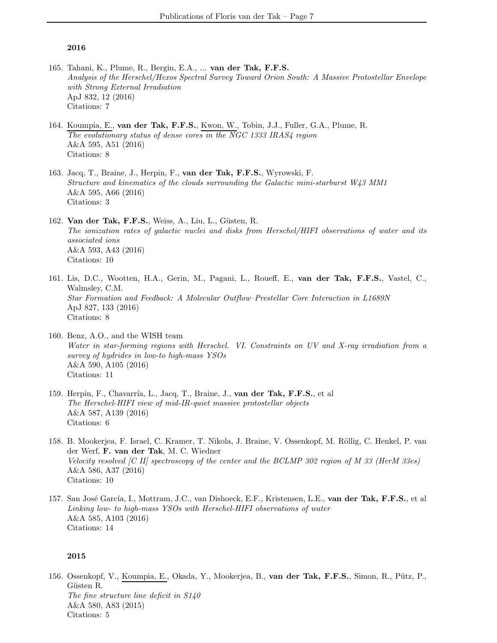- 165. Tahani, K., Plume, R., Bergin, E.A., ... van der Tak, F.F.S. Analysis of the Herschel/Hexos Spectral Survey Toward Orion South: A Massive Protostellar Envelope with Strong External Irradiation ApJ 832, 12 (2016) Citations: 7
- 164. Koumpia, E., van der Tak, F.F.S., Kwon, W., Tobin, J.J., Fuller, G.A., Plume, R. The evolutionary status of dense cores in the NGC 1333 IRAS4 region A&A 595, A51 (2016) Citations: 8
- 163. Jacq, T., Braine, J., Herpin, F., van der Tak, F.F.S., Wyrowski, F. Structure and kinematics of the clouds surrounding the Galactic mini-starburst W43 MM1 A&A 595, A66 (2016) Citations: 3
- 162. Van der Tak, F.F.S., Weiss, A., Liu, L., Güsten, R. The ionization rates of galactic nuclei and disks from Herschel/HIFI observations of water and its associated ions A&A 593, A43 (2016) Citations: 10
- 161. Lis, D.C., Wootten, H.A., Gerin, M., Pagani, L., Roueff, E., van der Tak, F.F.S., Vastel, C., Walmsley, C.M. Star Formation and Feedback: A Molecular Outflow–Prestellar Core Interaction in L1689N ApJ 827, 133 (2016) Citations: 8
- 160. Benz, A.O., and the WISH team Water in star-forming regions with Herschel. VI. Constraints on UV and X-ray irradiation from a survey of hydrides in low-to high-mass YSOs A&A 590, A105 (2016) Citations: 11
- 159. Herpin, F., Chavarría, L., Jacq, T., Braine, J., van der Tak, F.F.S., et al The Herschel-HIFI view of mid-IR-quiet massive protostellar objects A&A 587, A139 (2016) Citations: 6
- 158. B. Mookerjea, F. Israel, C. Kramer, T. Nikola, J. Braine, V. Ossenkopf, M. Röllig, C. Henkel, P. van der Werf, F. van der Tak, M. C. Wiedner Velocity resolved [C II] spectroscopy of the center and the BCLMP 302 region of M 33 (HerM 33es) A&A 586, A37 (2016) Citations: 10
- 157. San José García, I., Mottram, J.C., van Dishoeck, E.F., Kristensen, L.E., van der Tak, F.F.S., et al Linking low- to high-mass YSOs with Herschel-HIFI observations of water A&A 585, A103 (2016) Citations: 14

#### 2015

156. Ossenkopf, V., Koumpia, E., Okada, Y., Mookerjea, B., van der Tak, F.F.S., Simon, R., Pütz, P., Güsten R. The fine structure line deficit in S140 A&A 580, A83 (2015) Citations: 5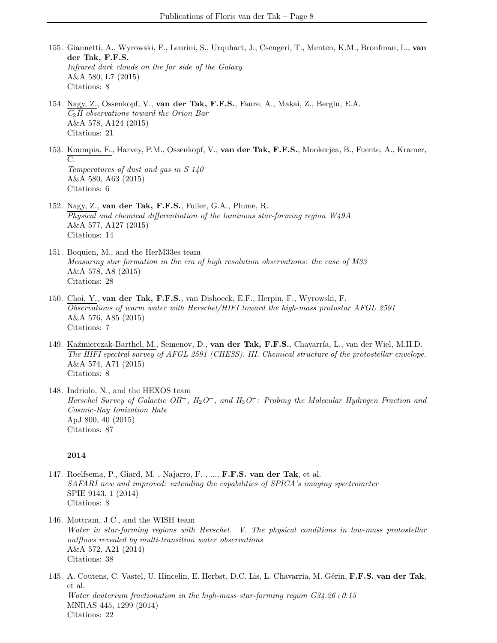- 155. Giannetti, A., Wyrowski, F., Leurini, S., Urquhart, J., Csengeri, T., Menten, K.M., Bronfman, L., van der Tak, F.F.S. Infrared dark clouds on the far side of the Galaxy A&A 580, L7 (2015) Citations: 8
- 154. Nagy, Z., Ossenkopf, V., van der Tak, F.F.S., Faure, A., Makai, Z., Bergin, E.A.  $C_2H$  observations toward the Orion Bar A&A 578, A124 (2015) Citations: 21
- 153. Koumpia, E., Harvey, P.M., Ossenkopf, V., van der Tak, F.F.S., Mookerjea, B., Fuente, A., Kramer, C. Temperatures of dust and gas in S 140 A&A 580, A63 (2015) Citations: 6
- 152. Nagy, Z., van der Tak, F.F.S., Fuller, G.A., Plume, R. Physical and chemical differentiation of the luminous star-forming region W49A A&A 577, A127 (2015) Citations: 14
- 151. Boquien, M., and the HerM33es team Measuring star formation in the era of high resolution observations: the case of M33 A&A 578, A8 (2015) Citations: 28
- 150. Choi, Y., van der Tak, F.F.S., van Dishoeck, E.F., Herpin, F., Wyrowski, F. Observations of warm water with Herschel/HIFI toward the high-mass protostar AFGL 2591 A&A 576, A85 (2015) Citations: 7
- 149. Kaźmierczak-Barthel, M., Semenov, D., van der Tak, F.F.S., Chavarría, L., van der Wiel, M.H.D. The HIFI spectral survey of AFGL 2591 (CHESS). III. Chemical structure of the protostellar envelope. A&A 574, A71 (2015) Citations: 8
- 148. Indriolo, N., and the HEXOS team Herschel Survey of Galactic  $OH^+, H_2O^+,$  and  $H_3O^+$ : Probing the Molecular Hydrogen Fraction and Cosmic-Ray Ionization Rate ApJ 800, 40 (2015) Citations: 87

- 147. Roelfsema, P., Giard, M. , Najarro, F. , ..., F.F.S. van der Tak, et al. SAFARI new and improved: extending the capabilities of SPICA's imaging spectrometer SPIE 9143, 1 (2014) Citations: 8
- 146. Mottram, J.C., and the WISH team Water in star-forming regions with Herschel. V. The physical conditions in low-mass protostellar outflows revealed by multi-transition water observations A&A 572, A21 (2014) Citations: 38
- 145. A. Coutens, C. Vastel, U. Hincelin, E. Herbst, D.C. Lis, L. Chavarría, M. Gérin, F.F.S. van der Tak, et al. Water deuterium fractionation in the high-mass star-forming region G34.26+0.15 MNRAS 445, 1299 (2014) Citations: 22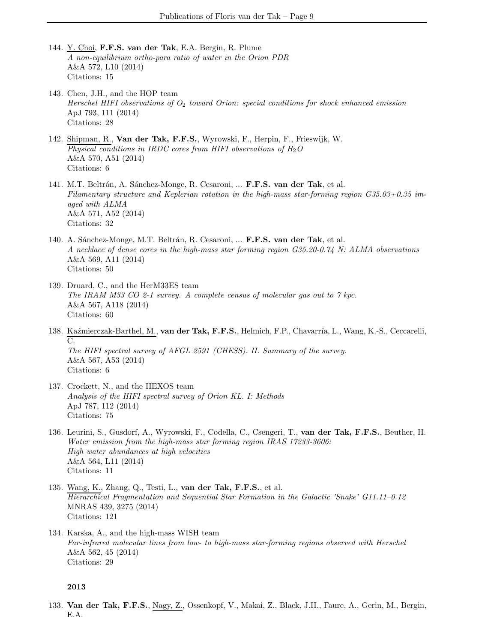- 144. Y. Choi, F.F.S. van der Tak, E.A. Bergin, R. Plume A non-equilibrium ortho-para ratio of water in the Orion PDR A&A 572, L10 (2014) Citations: 15
- 143. Chen, J.H., and the HOP team Herschel HIFI observations of  $O_2$  toward Orion: special conditions for shock enhanced emission ApJ 793, 111 (2014) Citations: 28
- 142. Shipman, R., Van der Tak, F.F.S., Wyrowski, F., Herpin, F., Frieswijk, W. Physical conditions in IRDC cores from HIFI observations of  $H_2O$ A&A 570, A51 (2014) Citations: 6
- 141. M.T. Beltrán, A. Sánchez-Monge, R. Cesaroni, ... F.F.S. van der Tak, et al. Filamentary structure and Keplerian rotation in the high-mass star-forming region G35.03+0.35 imaged with ALMA A&A 571, A52 (2014) Citations: 32
- 140. A. Sánchez-Monge, M.T. Beltrán, R. Cesaroni, ... F.F.S. van der Tak, et al. A necklace of dense cores in the high-mass star forming region G35.20-0.74 N: ALMA observations A&A 569, A11 (2014) Citations: 50
- 139. Druard, C., and the HerM33ES team The IRAM M33 CO 2-1 survey. A complete census of molecular gas out to 7 kpc. A&A 567, A118 (2014) Citations: 60
- 138. Kaźmierczak-Barthel, M., van der Tak, F.F.S., Helmich, F.P., Chavarría, L., Wang, K.-S., Ceccarelli, C. The HIFI spectral survey of AFGL 2591 (CHESS). II. Summary of the survey. A&A 567, A53 (2014) Citations: 6
- 137. Crockett, N., and the HEXOS team Analysis of the HIFI spectral survey of Orion KL. I: Methods ApJ 787, 112 (2014) Citations: 75
- 136. Leurini, S., Gusdorf, A., Wyrowski, F., Codella, C., Csengeri, T., van der Tak, F.F.S., Beuther, H. Water emission from the high-mass star forming region IRAS 17233-3606: High water abundances at high velocities A&A 564, L11 (2014) Citations: 11
- 135. Wang, K., Zhang, Q., Testi, L., van der Tak, F.F.S., et al. Hierarchical Fragmentation and Sequential Star Formation in the Galactic 'Snake' G11.11–0.12 MNRAS 439, 3275 (2014) Citations: 121
- 134. Karska, A., and the high-mass WISH team Far-infrared molecular lines from low- to high-mass star-forming regions observed with Herschel A&A 562, 45 (2014) Citations: 29

133. Van der Tak, F.F.S., Nagy, Z., Ossenkopf, V., Makai, Z., Black, J.H., Faure, A., Gerin, M., Bergin, E.A.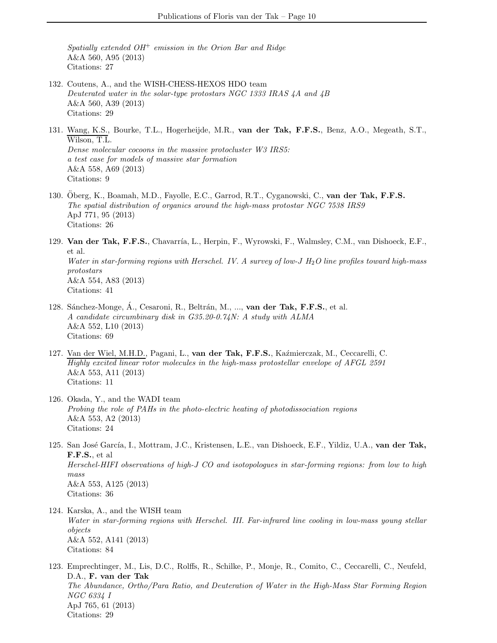Spatially extended  $OH^+$  emission in the Orion Bar and Ridge A&A 560, A95 (2013) Citations: 27

- 132. Coutens, A., and the WISH-CHESS-HEXOS HDO team Deuterated water in the solar-type protostars NGC 1333 IRAS 4A and 4B A&A 560, A39 (2013) Citations: 29
- 131. Wang, K.S., Bourke, T.L., Hogerheijde, M.R., van der Tak, F.F.S., Benz, A.O., Megeath, S.T., Wilson, T.L. Dense molecular cocoons in the massive protocluster W3 IRS5: a test case for models of massive star formation A&A 558, A69 (2013) Citations: 9
- 130. Öberg, K., Boamah, M.D., Fayolle, E.C., Garrod, R.T., Cyganowski, C., van der Tak, F.F.S. The spatial distribution of organics around the high-mass protostar NGC 7538 IRS9 ApJ 771, 95 (2013) Citations: 26
- 129. Van der Tak, F.F.S., Chavarría, L., Herpin, F., Wyrowski, F., Walmsley, C.M., van Dishoeck, E.F., et al. Water in star-forming regions with Herschel. IV. A survey of low-J  $H_2O$  line profiles toward high-mass protostars A&A 554, A83 (2013) Citations: 41
- 128. Sánchez-Monge, Á., Cesaroni, R., Beltrán, M., ..., van der Tak, F.F.S., et al. A candidate circumbinary disk in G35.20-0.74N: A study with ALMA A&A 552, L10 (2013) Citations: 69
- 127. Van der Wiel, M.H.D., Pagani, L., van der Tak, F.F.S., Kaźmierczak, M., Ceccarelli, C. Highly excited linear rotor molecules in the high-mass protostellar envelope of AFGL 2591 A&A 553, A11 (2013) Citations: 11
- 126. Okada, Y., and the WADI team Probing the role of PAHs in the photo-electric heating of photodissociation regions A&A 553, A2 (2013) Citations: 24
- 125. San José García, I., Mottram, J.C., Kristensen, L.E., van Dishoeck, E.F., Yildiz, U.A., van der Tak, F.F.S., et al Herschel-HIFI observations of high-J CO and isotopologues in star-forming regions: from low to high mass A&A 553, A125 (2013) Citations: 36
- 124. Karska, A., and the WISH team Water in star-forming regions with Herschel. III. Far-infrared line cooling in low-mass young stellar objects A&A 552, A141 (2013) Citations: 84
- 123. Emprechtinger, M., Lis, D.C., Rolffs, R., Schilke, P., Monje, R., Comito, C., Ceccarelli, C., Neufeld, D.A., F. van der Tak The Abundance, Ortho/Para Ratio, and Deuteration of Water in the High-Mass Star Forming Region NGC 6334 I ApJ 765, 61 (2013) Citations: 29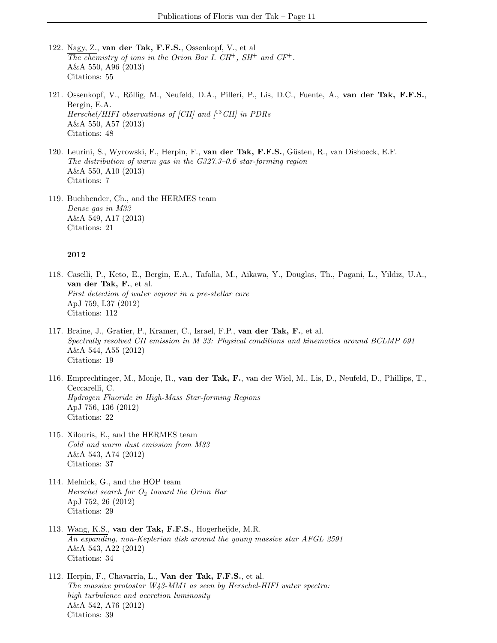- 122. Nagy, Z., van der Tak, F.F.S., Ossenkopf, V., et al The chemistry of ions in the Orion Bar I.  $CH^+$ ,  $SH^+$  and  $CF^+$ . A&A 550, A96 (2013) Citations: 55
- 121. Ossenkopf, V., Röllig, M., Neufeld, D.A., Pilleri, P., Lis, D.C., Fuente, A., van der Tak, F.F.S., Bergin, E.A. Herschel/HIFI observations of [CII] and  $(^{13}$ CII] in PDRs A&A 550, A57 (2013) Citations: 48
- 120. Leurini, S., Wyrowski, F., Herpin, F., van der Tak, F.F.S., Güsten, R., van Dishoeck, E.F. The distribution of warm gas in the G327.3–0.6 star-forming region A&A 550, A10 (2013) Citations: 7
- 119. Buchbender, Ch., and the HERMES team Dense gas in M33 A&A 549, A17 (2013) Citations: 21

- 118. Caselli, P., Keto, E., Bergin, E.A., Tafalla, M., Aikawa, Y., Douglas, Th., Pagani, L., Yildiz, U.A., van der Tak, F., et al. First detection of water vapour in a pre-stellar core ApJ 759, L37 (2012) Citations: 112
- 117. Braine, J., Gratier, P., Kramer, C., Israel, F.P., van der Tak, F., et al. Spectrally resolved CII emission in M 33: Physical conditions and kinematics around BCLMP 691 A&A 544, A55 (2012) Citations: 19
- 116. Emprechtinger, M., Monje, R., van der Tak, F., van der Wiel, M., Lis, D., Neufeld, D., Phillips, T., Ceccarelli, C. Hydrogen Fluoride in High-Mass Star-forming Regions ApJ 756, 136 (2012) Citations: 22
- 115. Xilouris, E., and the HERMES team Cold and warm dust emission from M33 A&A 543, A74 (2012) Citations: 37
- 114. Melnick, G., and the HOP team Herschel search for  $O_2$  toward the Orion Bar ApJ 752, 26 (2012) Citations: 29
- 113. Wang, K.S., van der Tak, F.F.S., Hogerheijde, M.R. An expanding, non-Keplerian disk around the young massive star AFGL 2591 A&A 543, A22 (2012) Citations: 34
- 112. Herpin, F., Chavarría, L., Van der Tak, F.F.S., et al. The massive protostar W43-MM1 as seen by Herschel-HIFI water spectra: high turbulence and accretion luminosity A&A 542, A76 (2012) Citations: 39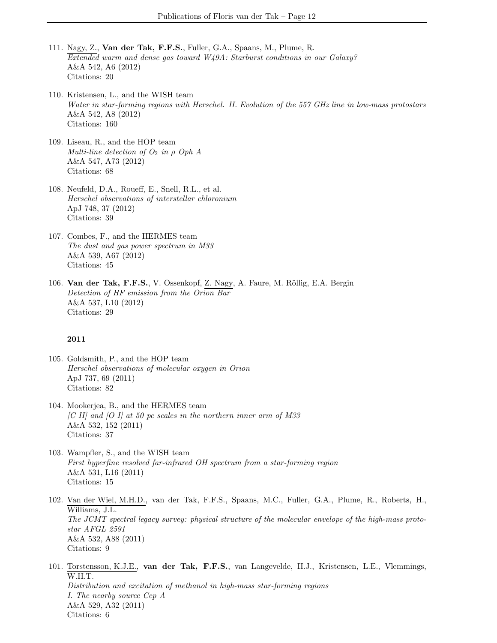- 111. Nagy, Z., Van der Tak, F.F.S., Fuller, G.A., Spaans, M., Plume, R. Extended warm and dense gas toward W49A: Starburst conditions in our Galaxy? A&A 542, A6 (2012) Citations: 20
- 110. Kristensen, L., and the WISH team Water in star-forming regions with Herschel. II. Evolution of the 557 GHz line in low-mass protostars A&A 542, A8 (2012) Citations: 160
- 109. Liseau, R., and the HOP team Multi-line detection of  $O_2$  in  $\rho$  Oph A A&A 547, A73 (2012) Citations: 68
- 108. Neufeld, D.A., Roueff, E., Snell, R.L., et al. Herschel observations of interstellar chloronium ApJ 748, 37 (2012) Citations: 39
- 107. Combes, F., and the HERMES team The dust and gas power spectrum in M33 A&A 539, A67 (2012) Citations: 45
- 106. Van der Tak, F.F.S., V. Ossenkopf, Z. Nagy, A. Faure, M. Röllig, E.A. Bergin Detection of HF emission from the Orion Bar A&A 537, L10 (2012) Citations: 29

- 105. Goldsmith, P., and the HOP team Herschel observations of molecular oxygen in Orion ApJ 737, 69 (2011) Citations: 82
- 104. Mookerjea, B., and the HERMES team  $[C II]$  and  $[O I]$  at 50 pc scales in the northern inner arm of M33 A&A 532, 152 (2011) Citations: 37
- 103. Wampfler, S., and the WISH team First hyperfine resolved far-infrared OH spectrum from a star-forming region A&A 531, L16 (2011) Citations: 15
- 102. Van der Wiel, M.H.D., van der Tak, F.F.S., Spaans, M.C., Fuller, G.A., Plume, R., Roberts, H., Williams, J.L. The JCMT spectral legacy survey: physical structure of the molecular envelope of the high-mass protostar AFGL 2591 A&A 532, A88 (2011) Citations: 9
- 101. Torstensson, K.J.E., van der Tak, F.F.S., van Langevelde, H.J., Kristensen, L.E., Vlemmings, W.H.T. Distribution and excitation of methanol in high-mass star-forming regions I. The nearby source Cep A A&A 529, A32 (2011) Citations: 6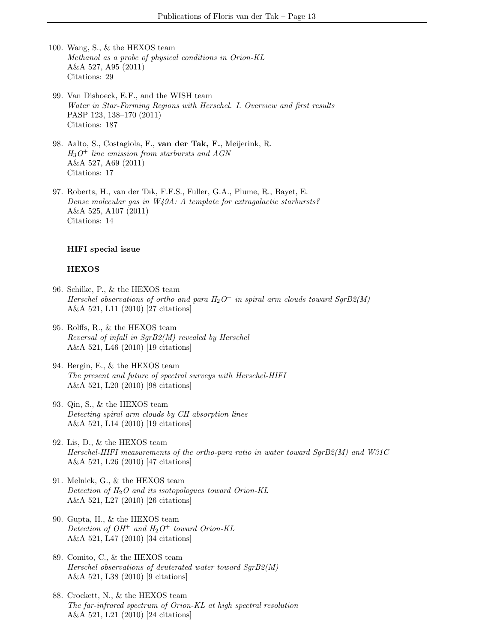- 100. Wang, S., & the HEXOS team Methanol as a probe of physical conditions in Orion-KL A&A 527, A95 (2011) Citations: 29
- 99. Van Dishoeck, E.F., and the WISH team Water in Star-Forming Regions with Herschel. I. Overview and first results PASP 123, 138–170 (2011) Citations: 187
- 98. Aalto, S., Costagiola, F., van der Tak, F., Meijerink, R.  $H_3O^+$  line emission from starbursts and AGN A&A 527, A69 (2011) Citations: 17
- 97. Roberts, H., van der Tak, F.F.S., Fuller, G.A., Plume, R., Bayet, E. Dense molecular gas in W49A: A template for extragalactic starbursts? A&A 525, A107 (2011) Citations: 14

#### HIFI special issue

#### HEXOS

- 96. Schilke, P., & the HEXOS team Herschel observations of ortho and para  $H_2O^+$  in spiral arm clouds toward SgrB2(M) A&A 521, L11 (2010) [27 citations]
- 95. Rolffs, R., & the HEXOS team Reversal of infall in SgrB2(M) revealed by Herschel A&A 521, L46 (2010) [19 citations]
- 94. Bergin, E., & the HEXOS team The present and future of spectral surveys with Herschel-HIFI A&A 521, L20 (2010) [98 citations]
- 93. Qin, S., & the HEXOS team Detecting spiral arm clouds by CH absorption lines A&A 521, L14 (2010) [19 citations]
- 92. Lis, D., & the HEXOS team Herschel-HIFI measurements of the ortho-para ratio in water toward SgrB2(M) and W31C A&A 521, L26 (2010) [47 citations]
- 91. Melnick, G., & the HEXOS team Detection of  $H_2O$  and its isotopologues toward Orion-KL A&A 521, L27 (2010) [26 citations]
- 90. Gupta, H., & the HEXOS team Detection of  $OH^+$  and  $H_2O^+$  toward Orion-KL A&A 521, L47 (2010) [34 citations]
- 89. Comito, C., & the HEXOS team Herschel observations of deuterated water toward SgrB2(M) A&A 521, L38 (2010) [9 citations]
- 88. Crockett, N., & the HEXOS team The far-infrared spectrum of Orion-KL at high spectral resolution A&A 521, L21 (2010) [24 citations]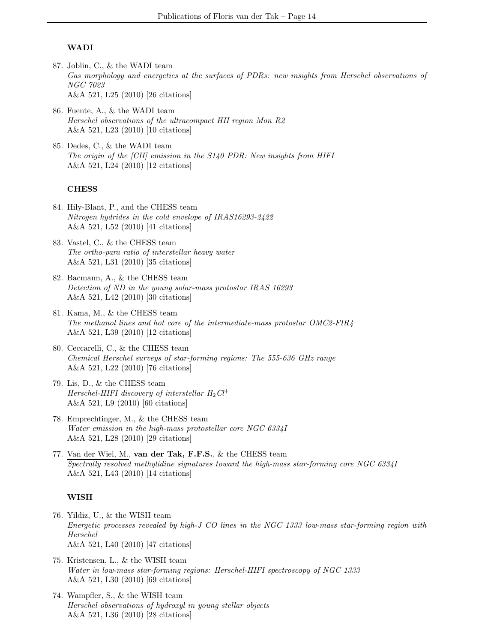#### WADI

- 87. Joblin, C., & the WADI team Gas morphology and energetics at the surfaces of PDRs: new insights from Herschel observations of NGC 7023 A&A 521, L25 (2010) [26 citations]
- 86. Fuente, A., & the WADI team Herschel observations of the ultracompact HII region Mon R2 A&A 521, L23 (2010) [10 citations]
- 85. Dedes, C., & the WADI team The origin of the [CII] emission in the S140 PDR: New insights from HIFI A&A 521, L24 (2010) [12 citations]

#### **CHESS**

- 84. Hily-Blant, P., and the CHESS team Nitrogen hydrides in the cold envelope of IRAS16293-2422 A&A 521, L52 (2010) [41 citations]
- 83. Vastel, C., & the CHESS team The ortho-para ratio of interstellar heavy water A&A 521, L31 (2010) [35 citations]
- 82. Bacmann, A., & the CHESS team Detection of ND in the young solar-mass protostar IRAS 16293 A&A 521, L42 (2010) [30 citations]
- 81. Kama, M., & the CHESS team The methanol lines and hot core of the intermediate-mass protostar OMC2-FIR4 A&A 521, L39 (2010) [12 citations]
- 80. Ceccarelli, C., & the CHESS team Chemical Herschel surveys of star-forming regions: The 555-636 GHz range A&A 521, L22 (2010) [76 citations]
- 79. Lis, D., & the CHESS team Herschel-HIFI discovery of interstellar  $H_2Cl^+$ A&A 521, L9 (2010) [60 citations]
- 78. Emprechtinger, M., & the CHESS team Water emission in the high-mass protostellar core NGC 6334I A&A 521, L28 (2010) [29 citations]
- 77. Van der Wiel, M., van der Tak, F.F.S., & the CHESS team Spectrally resolved methylidine signatures toward the high-mass star-forming core NGC 6334I A&A 521, L43 (2010) [14 citations]

#### WISH

- 76. Yildiz, U., & the WISH team Energetic processes revealed by high-J CO lines in the NGC 1333 low-mass star-forming region with Herschel A&A 521, L40 (2010) [47 citations]
- 75. Kristensen, L., & the WISH team Water in low-mass star-forming regions: Herschel-HIFI spectroscopy of NGC 1333 A&A 521, L30 (2010) [69 citations]
- 74. Wampfler, S., & the WISH team Herschel observations of hydroxyl in young stellar objects A&A 521, L36 (2010) [28 citations]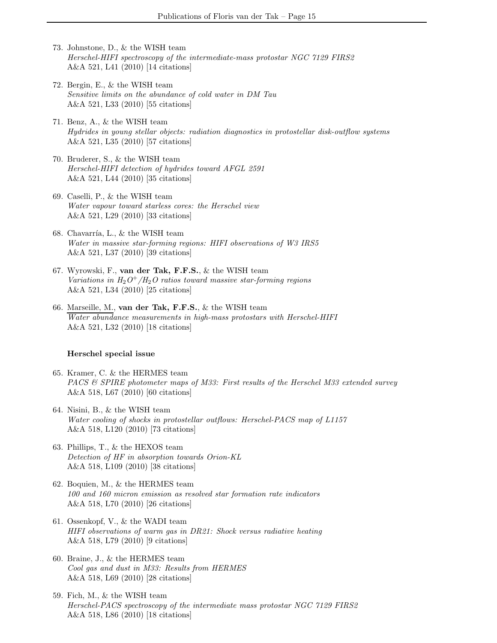- 73. Johnstone, D., & the WISH team Herschel-HIFI spectroscopy of the intermediate-mass protostar NGC 7129 FIRS2 A&A 521, L41 (2010) [14 citations]
- 72. Bergin, E., & the WISH team Sensitive limits on the abundance of cold water in DM Tau A&A 521, L33 (2010) [55 citations]
- 71. Benz, A., & the WISH team Hydrides in young stellar objects: radiation diagnostics in protostellar disk-outflow systems A&A 521, L35 (2010) [57 citations]
- 70. Bruderer, S., & the WISH team Herschel-HIFI detection of hydrides toward AFGL 2591 A&A 521, L44 (2010) [35 citations]
- 69. Caselli, P., & the WISH team Water vapour toward starless cores: the Herschel view A&A 521, L29 (2010) [33 citations]
- 68. Chavarría, L.,  $\&$  the WISH team Water in massive star-forming regions: HIFI observations of W3 IRS5 A&A 521, L37 (2010) [39 citations]
- 67. Wyrowski, F., van der Tak, F.F.S., & the WISH team Variations in  $H_2O^+/H_2O$  ratios toward massive star-forming regions A&A 521, L34 (2010) [25 citations]
- 66. Marseille, M., van der Tak, F.F.S., & the WISH team Water abundance measurements in high-mass protostars with Herschel-HIFI A&A 521, L32 (2010) [18 citations]

#### Herschel special issue

- 65. Kramer, C. & the HERMES team PACS & SPIRE photometer maps of M33: First results of the Herschel M33 extended survey A&A 518, L67 (2010) [60 citations]
- 64. Nisini, B., & the WISH team Water cooling of shocks in protostellar outflows: Herschel-PACS map of L1157 A&A 518, L120 (2010) [73 citations]
- 63. Phillips, T., & the HEXOS team Detection of HF in absorption towards Orion-KL A&A 518, L109 (2010) [38 citations]
- 62. Boquien, M., & the HERMES team 100 and 160 micron emission as resolved star formation rate indicators A&A 518, L70 (2010) [26 citations]
- 61. Ossenkopf, V., & the WADI team HIFI observations of warm gas in DR21: Shock versus radiative heating A&A 518, L79 (2010) [9 citations]
- 60. Braine, J., & the HERMES team Cool gas and dust in M33: Results from HERMES A&A 518, L69 (2010) [28 citations]
- 59. Fich, M., & the WISH team Herschel-PACS spectroscopy of the intermediate mass protostar NGC 7129 FIRS2 A&A 518, L86 (2010) [18 citations]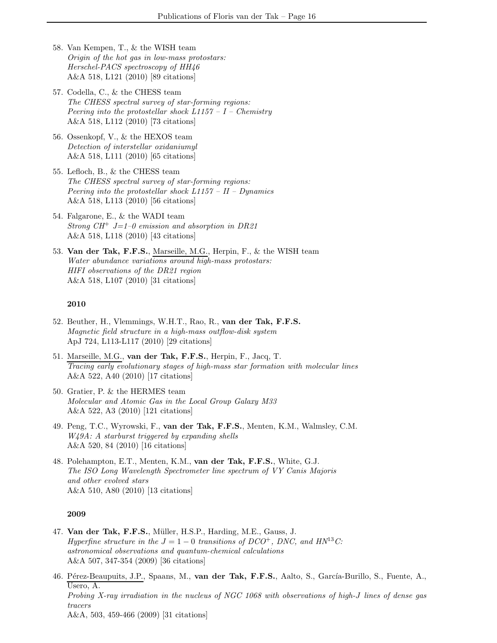- 58. Van Kempen, T., & the WISH team Origin of the hot gas in low-mass protostars: Herschel-PACS spectroscopy of HH46 A&A 518, L121 (2010) [89 citations]
- 57. Codella, C., & the CHESS team The CHESS spectral survey of star-forming regions: Peering into the protostellar shock  $L1157 - I - Chemistry$ A&A 518, L112 (2010) [73 citations]
- 56. Ossenkopf, V., & the HEXOS team Detection of interstellar oxidaniumyl A&A 518, L111 (2010) [65 citations]
- 55. Lefloch, B., & the CHESS team The CHESS spectral survey of star-forming regions: Peering into the protostellar shock  $L1157 - II - Dynamics$ A&A 518, L113 (2010) [56 citations]
- 54. Falgarone, E., & the WADI team Strong  $CH^+$  J=1–0 emission and absorption in DR21 A&A 518, L118 (2010) [43 citations]
- 53. Van der Tak, F.F.S., Marseille, M.G., Herpin, F., & the WISH team Water abundance variations around high-mass protostars: HIFI observations of the DR21 region A&A 518, L107 (2010) [31 citations]

- 52. Beuther, H., Vlemmings, W.H.T., Rao, R., van der Tak, F.F.S. Magnetic field structure in a high-mass outflow-disk system ApJ 724, L113-L117 (2010) [29 citations]
- 51. Marseille, M.G., van der Tak, F.F.S., Herpin, F., Jacq, T. Tracing early evolutionary stages of high-mass star formation with molecular lines A&A 522, A40 (2010) [17 citations]
- 50. Gratier, P. & the HERMES team Molecular and Atomic Gas in the Local Group Galaxy M33 A&A 522, A3 (2010) [121 citations]
- 49. Peng, T.C., Wyrowski, F., van der Tak, F.F.S., Menten, K.M., Walmsley, C.M. W<sub>4</sub>9A: A starburst triggered by expanding shells A&A 520, 84 (2010) [16 citations]
- 48. Polehampton, E.T., Menten, K.M., van der Tak, F.F.S., White, G.J. The ISO Long Wavelength Spectrometer line spectrum of VY Canis Majoris and other evolved stars A&A 510, A80 (2010) [13 citations]

- 47. Van der Tak, F.F.S., Müller, H.S.P., Harding, M.E., Gauss, J. Hyperfine structure in the  $J = 1 - 0$  transitions of DCO<sup>+</sup>, DNC, and HN<sup>13</sup>C: astronomical observations and quantum-chemical calculations A&A 507, 347-354 (2009) [36 citations]
- 46. Pérez-Beaupuits, J.P., Spaans, M., van der Tak, F.F.S., Aalto, S., García-Burillo, S., Fuente, A., Usero, A. Probing X-ray irradiation in the nucleus of NGC 1068 with observations of high-J lines of dense gas tracers A&A, 503, 459-466 (2009) [31 citations]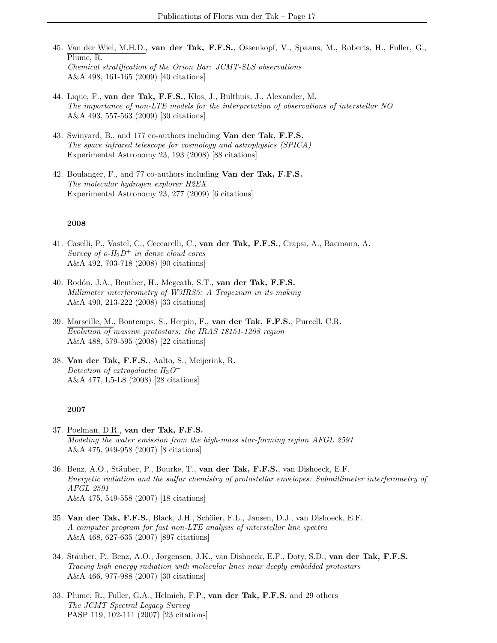- 45. Van der Wiel, M.H.D., van der Tak, F.F.S., Ossenkopf, V., Spaans, M., Roberts, H., Fuller, G., Plume, R. Chemical stratification of the Orion Bar: JCMT-SLS observations A&A 498, 161-165 (2009) [40 citations]
- 44. Lique, F., van der Tak, F.F.S., Klos, J., Bulthuis, J., Alexander, M. The importance of non-LTE models for the interpretation of observations of interstellar NO A&A 493, 557-563 (2009) [30 citations]
- 43. Swinyard, B., and 177 co-authors including Van der Tak, F.F.S. The space infrared telescope for cosmology and astrophysics (SPICA) Experimental Astronomy 23, 193 (2008) [88 citations]
- 42. Boulanger, F., and 77 co-authors including Van der Tak, F.F.S. The molecular hydrogen explorer H2EX Experimental Astronomy 23, 277 (2009) [6 citations]

- 41. Caselli, P., Vastel, C., Ceccarelli, C., van der Tak, F.F.S., Crapsi, A., Bacmann, A. Survey of  $o$ -H<sub>2</sub>D<sup>+</sup> in dense cloud cores A&A 492, 703-718 (2008) [90 citations]
- 40. Rodón, J.A., Beuther, H., Megeath, S.T., van der Tak, F.F.S. Millimeter interferometry of W3IRS5: A Trapezium in its making A&A 490, 213-222 (2008) [33 citations]
- 39. Marseille, M., Bontemps, S., Herpin, F., van der Tak, F.F.S., Purcell, C.R. Evolution of massive protostars: the IRAS 18151-1208 region A&A 488, 579-595 (2008) [22 citations]
- 38. Van der Tak, F.F.S., Aalto, S., Meijerink, R. Detection of extragalactic  $H_3O^+$ A&A 477, L5-L8 (2008) [28 citations]

- 37. Poelman, D.R., van der Tak, F.F.S. Modeling the water emission from the high-mass star-forming region AFGL 2591 A&A 475, 949-958 (2007) [8 citations]
- 36. Benz, A.O., Stäuber, P., Bourke, T., van der Tak, F.F.S., van Dishoeck, E.F. Energetic radiation and the sulfur chemistry of protostellar envelopes: Submillimeter interferometry of AFGL 2591 A&A 475, 549-558 (2007) [18 citations]
- 35. Van der Tak, F.F.S., Black, J.H., Schöier, F.L., Jansen, D.J., van Dishoeck, E.F. A computer program for fast non-LTE analysis of interstellar line spectra A&A 468, 627-635 (2007) [897 citations]
- 34. Stäuber, P., Benz, A.O., Jørgensen, J.K., van Dishoeck, E.F., Doty, S.D., van der Tak, F.F.S. Tracing high energy radiation with molecular lines near deeply embedded protostars A&A 466, 977-988 (2007) [30 citations]
- 33. Plume, R., Fuller, G.A., Helmich, F.P., van der Tak, F.F.S. and 29 others The JCMT Spectral Legacy Survey PASP 119, 102-111 (2007) [23 citations]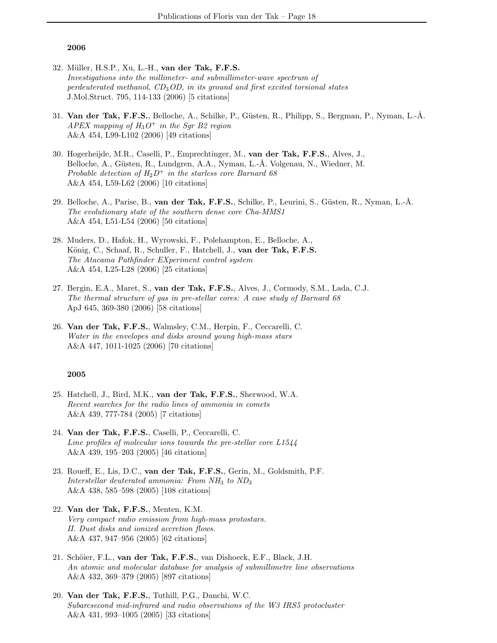- 32. Müller, H.S.P., Xu, L.-H., van der Tak, F.F.S. Investigations into the millimeter- and submillimeter-wave spectrum of perdeuterated methanol,  $CD_3OD$ , in its ground and first excited torsional states J.Mol.Struct. 795, 114-133 (2006) [5 citations]
- 31. Van der Tak, F.F.S., Belloche, A., Schilke, P., Güsten, R., Philipp, S., Bergman, P., Nyman, L.-Å. APEX mapping of  $H_3O^+$  in the Sgr B2 region A&A 454, L99-L102 (2006) [49 citations]
- 30. Hogerheijde, M.R., Caselli, P., Emprechtinger, M., van der Tak, F.F.S., Alves, J., Belloche, A., Güsten, R., Lundgren, A.A., Nyman, L.-Å. Volgenau, N., Wiedner, M. Probable detection of  $H_2D^+$  in the starless core Barnard 68 A&A 454, L59-L62 (2006) [10 citations]
- 29. Belloche, A., Parise, B., van der Tak, F.F.S., Schilke, P., Leurini, S., Güsten, R., Nyman, L.-Å. The evolutionary state of the southern dense core Cha-MMS1 A&A 454, L51-L54 (2006) [50 citations]
- 28. Muders, D., Hafok, H., Wyrowski, F., Polehampton, E., Belloche, A., König, C., Schaaf, R., Schuller, F., Hatchell, J., van der Tak, F.F.S. The Atacama Pathfinder EXperiment control system A&A 454, L25-L28 (2006) [25 citations]
- 27. Bergin, E.A., Maret, S., van der Tak, F.F.S., Alves, J., Cormody, S.M., Lada, C.J. The thermal structure of gas in pre-stellar cores: A case study of Barnard 68 ApJ 645, 369-380 (2006) [58 citations]
- 26. Van der Tak, F.F.S., Walmsley, C.M., Herpin, F., Ceccarelli, C. Water in the envelopes and disks around young high-mass stars A&A 447, 1011-1025 (2006) [70 citations]

- 25. Hatchell, J., Bird, M.K., van der Tak, F.F.S., Sherwood, W.A. Recent searches for the radio lines of ammonia in comets A&A 439, 777-784 (2005) [7 citations]
- 24. Van der Tak, F.F.S., Caselli, P., Ceccarelli, C. Line profiles of molecular ions towards the pre-stellar core L1544 A&A 439, 195–203 (2005) [46 citations]
- 23. Roueff, E., Lis, D.C., van der Tak, F.F.S., Gerin, M., Goldsmith, P.F. Interstellar deuterated ammonia: From  $NH<sub>3</sub>$  to  $ND<sub>3</sub>$ A&A 438, 585–598 (2005) [108 citations]
- 22. Van der Tak, F.F.S., Menten, K.M. Very compact radio emission from high-mass protostars. II. Dust disks and ionized accretion flows. A&A 437, 947–956 (2005) [62 citations]
- 21. Schöier, F.L., van der Tak, F.F.S., van Dishoeck, E.F., Black, J.H. An atomic and molecular database for analysis of submillimetre line observations A&A 432, 369–379 (2005) [897 citations]
- 20. Van der Tak, F.F.S., Tuthill, P.G., Danchi, W.C. Subarcsecond mid-infrared and radio observations of the W3 IRS5 protocluster A&A 431, 993–1005 (2005) [33 citations]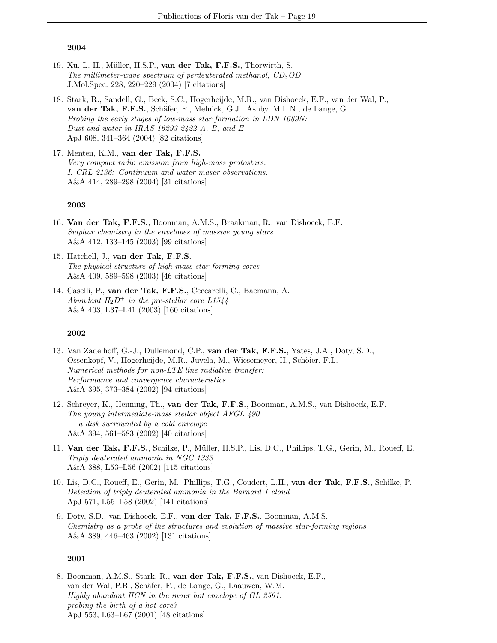- 19. Xu, L.-H., Müller, H.S.P., van der Tak, F.F.S., Thorwirth, S. The millimeter-wave spectrum of perdeuterated methanol,  $CD_3OD$ J.Mol.Spec. 228, 220–229 (2004) [7 citations]
- 18. Stark, R., Sandell, G., Beck, S.C., Hogerheijde, M.R., van Dishoeck, E.F., van der Wal, P., van der Tak, F.F.S., Schäfer, F., Melnick, G.J., Ashby, M.L.N., de Lange, G. Probing the early stages of low-mass star formation in LDN 1689N: Dust and water in IRAS 16293-2422 A, B, and E ApJ 608, 341–364 (2004) [82 citations]
- 17. Menten, K.M., van der Tak, F.F.S. Very compact radio emission from high-mass protostars. I. CRL 2136: Continuum and water maser observations. A&A 414, 289–298 (2004) [31 citations]

#### 2003

- 16. Van der Tak, F.F.S., Boonman, A.M.S., Braakman, R., van Dishoeck, E.F. Sulphur chemistry in the envelopes of massive young stars A&A 412, 133–145 (2003) [99 citations]
- 15. Hatchell, J., van der Tak, F.F.S. The physical structure of high-mass star-forming cores A&A 409, 589–598 (2003) [46 citations]
- 14. Caselli, P., van der Tak, F.F.S., Ceccarelli, C., Bacmann, A. Abundant  $H_2D^+$  in the pre-stellar core L1544 A&A 403, L37–L41 (2003) [160 citations]

#### 2002

- 13. Van Zadelhoff, G.-J., Dullemond, C.P., van der Tak, F.F.S., Yates, J.A., Doty, S.D., Ossenkopf, V., Hogerheijde, M.R., Juvela, M., Wiesemeyer, H., Schöier, F.L. Numerical methods for non-LTE line radiative transfer: Performance and convergence characteristics A&A 395, 373–384 (2002) [94 citations]
- 12. Schreyer, K., Henning, Th., van der Tak, F.F.S., Boonman, A.M.S., van Dishoeck, E.F. The young intermediate-mass stellar object AFGL 490 — a disk surrounded by a cold envelope A&A 394, 561–583 (2002) [40 citations]
- 11. Van der Tak, F.F.S., Schilke, P., Müller, H.S.P., Lis, D.C., Phillips, T.G., Gerin, M., Roueff, E. Triply deuterated ammonia in NGC 1333 A&A 388, L53–L56 (2002) [115 citations]
- 10. Lis, D.C., Roueff, E., Gerin, M., Phillips, T.G., Coudert, L.H., van der Tak, F.F.S., Schilke, P. Detection of triply deuterated ammonia in the Barnard 1 cloud ApJ 571, L55–L58 (2002) [141 citations]
- 9. Doty, S.D., van Dishoeck, E.F., van der Tak, F.F.S., Boonman, A.M.S. Chemistry as a probe of the structures and evolution of massive star-forming regions A&A 389, 446–463 (2002) [131 citations]

#### 2001

8. Boonman, A.M.S., Stark, R., van der Tak, F.F.S., van Dishoeck, E.F., van der Wal, P.B., Schäfer, F., de Lange, G., Laauwen, W.M. Highly abundant HCN in the inner hot envelope of GL 2591: probing the birth of a hot core? ApJ 553, L63–L67 (2001) [48 citations]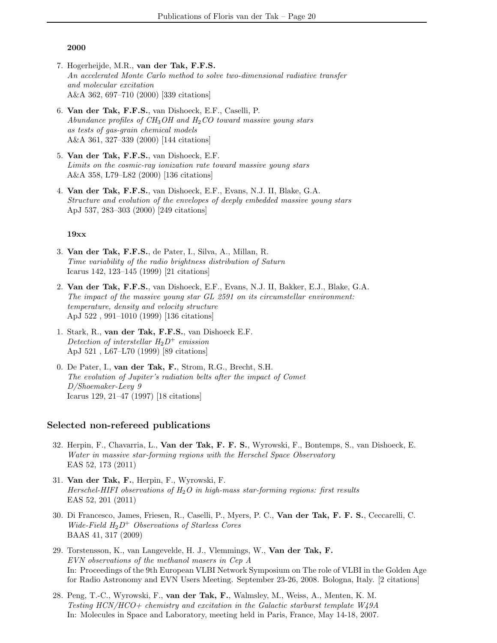- 7. Hogerheijde, M.R., van der Tak, F.F.S. An accelerated Monte Carlo method to solve two-dimensional radiative transfer and molecular excitation A&A 362, 697–710 (2000) [339 citations]
- 6. Van der Tak, F.F.S., van Dishoeck, E.F., Caselli, P. Abundance profiles of  $CH_3OH$  and  $H_2CO$  toward massive young stars as tests of gas-grain chemical models A&A 361, 327–339 (2000) [144 citations]
- 5. Van der Tak, F.F.S., van Dishoeck, E.F. Limits on the cosmic-ray ionization rate toward massive young stars A&A 358, L79–L82 (2000) [136 citations]
- 4. Van der Tak, F.F.S., van Dishoeck, E.F., Evans, N.J. II, Blake, G.A. Structure and evolution of the envelopes of deeply embedded massive young stars ApJ 537, 283–303 (2000) [249 citations]

#### 19xx

- 3. Van der Tak, F.F.S., de Pater, I., Silva, A., Millan, R. Time variability of the radio brightness distribution of Saturn Icarus 142, 123–145 (1999) [21 citations]
- 2. Van der Tak, F.F.S., van Dishoeck, E.F., Evans, N.J. II, Bakker, E.J., Blake, G.A. The impact of the massive young star GL 2591 on its circumstellar environment: temperature, density and velocity structure ApJ 522 , 991–1010 (1999) [136 citations]
- 1. Stark, R., van der Tak, F.F.S., van Dishoeck E.F. Detection of interstellar  $H_2D^+$  emission ApJ 521 , L67–L70 (1999) [89 citations]
- 0. De Pater, I., van der Tak, F., Strom, R.G., Brecht, S.H. The evolution of Jupiter's radiation belts after the impact of Comet D/Shoemaker-Levy 9 Icarus 129, 21–47 (1997) [18 citations]

### Selected non-refereed publications

- 32. Herpin, F., Chavarria, L., Van der Tak, F. F. S., Wyrowski, F., Bontemps, S., van Dishoeck, E. Water in massive star-forming regions with the Herschel Space Observatory EAS 52, 173 (2011)
- 31. Van der Tak, F., Herpin, F., Wyrowski, F. Herschel-HIFI observations of  $H_2O$  in high-mass star-forming regions: first results EAS 52, 201 (2011)
- 30. Di Francesco, James, Friesen, R., Caselli, P., Myers, P. C., Van der Tak, F. F. S., Ceccarelli, C. Wide-Field  $H_2D^+$  Observations of Starless Cores BAAS 41, 317 (2009)
- 29. Torstensson, K., van Langevelde, H. J., Vlemmings, W., Van der Tak, F. EVN observations of the methanol masers in Cep A In: Proceedings of the 9th European VLBI Network Symposium on The role of VLBI in the Golden Age for Radio Astronomy and EVN Users Meeting. September 23-26, 2008. Bologna, Italy. [2 citations]
- 28. Peng, T.-C., Wyrowski, F., van der Tak, F., Walmsley, M., Weiss, A., Menten, K. M. Testing HCN/HCO+ chemistry and excitation in the Galactic starburst template W49A In: Molecules in Space and Laboratory, meeting held in Paris, France, May 14-18, 2007.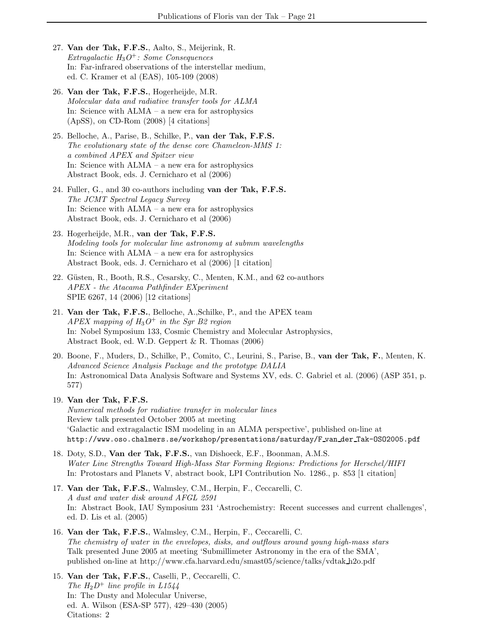- 27. Van der Tak, F.F.S., Aalto, S., Meijerink, R. Extragalactic  $H_3O^+$ : Some Consequences In: Far-infrared observations of the interstellar medium, ed. C. Kramer et al (EAS), 105-109 (2008)
- 26. Van der Tak, F.F.S., Hogerheijde, M.R. Molecular data and radiative transfer tools for ALMA In: Science with ALMA – a new era for astrophysics (ApSS), on CD-Rom (2008) [4 citations]
- 25. Belloche, A., Parise, B., Schilke, P., van der Tak, F.F.S. The evolutionary state of the dense core Chameleon-MMS 1: a combined APEX and Spitzer view In: Science with ALMA – a new era for astrophysics Abstract Book, eds. J. Cernicharo et al (2006)
- 24. Fuller, G., and 30 co-authors including van der Tak, F.F.S. The JCMT Spectral Legacy Survey In: Science with ALMA – a new era for astrophysics Abstract Book, eds. J. Cernicharo et al (2006)
- 23. Hogerheijde, M.R., van der Tak, F.F.S. Modeling tools for molecular line astronomy at submm wavelengths In: Science with ALMA – a new era for astrophysics Abstract Book, eds. J. Cernicharo et al (2006) [1 citation]
- 22. Güsten, R., Booth, R.S., Cesarsky, C., Menten, K.M., and 62 co-authors APEX - the Atacama Pathfinder EXperiment SPIE 6267, 14 (2006) [12 citations]
- 21. Van der Tak, F.F.S., Belloche, A.,Schilke, P., and the APEX team APEX mapping of  $H_3O^+$  in the Sgr B2 region In: Nobel Symposium 133, Cosmic Chemistry and Molecular Astrophysics, Abstract Book, ed. W.D. Geppert & R. Thomas (2006)
- 20. Boone, F., Muders, D., Schilke, P., Comito, C., Leurini, S., Parise, B., van der Tak, F., Menten, K. Advanced Science Analysis Package and the prototype DALIA In: Astronomical Data Analysis Software and Systems XV, eds. C. Gabriel et al. (2006) (ASP 351, p. 577)
- 19. Van der Tak, F.F.S. Numerical methods for radiative transfer in molecular lines Review talk presented October 2005 at meeting 'Galactic and extragalactic ISM modeling in an ALMA perspective', published on-line at http://www.oso.chalmers.se/workshop/presentations/saturday/F van der Tak-OSO2005.pdf
- 18. Doty, S.D., Van der Tak, F.F.S., van Dishoeck, E.F., Boonman, A.M.S. Water Line Strengths Toward High-Mass Star Forming Regions: Predictions for Herschel/HIFI In: Protostars and Planets V, abstract book, LPI Contribution No. 1286., p. 853 [1 citation]
- 17. Van der Tak, F.F.S., Walmsley, C.M., Herpin, F., Ceccarelli, C. A dust and water disk around AFGL 2591 In: Abstract Book, IAU Symposium 231 'Astrochemistry: Recent successes and current challenges', ed. D. Lis et al. (2005)
- 16. Van der Tak, F.F.S., Walmsley, C.M., Herpin, F., Ceccarelli, C. The chemistry of water in the envelopes, disks, and outflows around young high-mass stars Talk presented June 2005 at meeting 'Submillimeter Astronomy in the era of the SMA', published on-line at http://www.cfa.harvard.edu/smast05/science/talks/vdtak h2o.pdf
- 15. Van der Tak, F.F.S., Caselli, P., Ceccarelli, C. The  $H_2D^+$  line profile in L1544 In: The Dusty and Molecular Universe, ed. A. Wilson (ESA-SP 577), 429–430 (2005) Citations: 2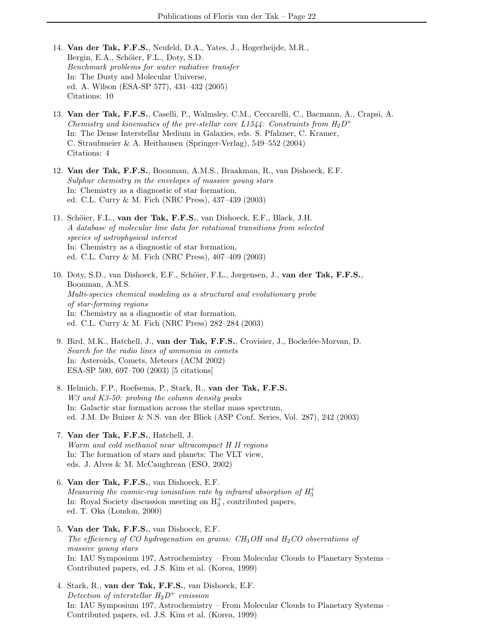- 14. Van der Tak, F.F.S., Neufeld, D.A., Yates, J., Hogerheijde, M.R., Bergin, E.A., Schöier, F.L., Doty, S.D. Benchmark problems for water radiative transfer In: The Dusty and Molecular Universe, ed. A. Wilson (ESA-SP 577), 431–432 (2005) Citations: 10
- 13. Van der Tak, F.F.S., Caselli, P., Walmsley, C.M., Ceccarelli, C., Bacmann, A., Crapsi, A. Chemistry and kinematics of the pre-stellar core L1544: Constraints from  $H_2D^+$ In: The Dense Interstellar Medium in Galaxies, eds. S. Pfalzner, C. Kramer, C. Straubmeier & A. Heithausen (Springer-Verlag), 549–552 (2004) Citations: 4
- 12. Van der Tak, F.F.S., Boonman, A.M.S., Braakman, R., van Dishoeck, E.F. Sulphur chemistry in the envelopes of massive young stars In: Chemistry as a diagnostic of star formation, ed. C.L. Curry & M. Fich (NRC Press), 437–439 (2003)
- 11. Schöier, F.L., van der Tak, F.F.S., van Dishoeck, E.F., Black, J.H. A database of molecular line data for rotational transitions from selected species of astrophysical interest In: Chemistry as a diagnostic of star formation, ed. C.L. Curry & M. Fich (NRC Press), 407–409 (2003)
- 10. Doty, S.D., van Dishoeck, E.F., Schöier, F.L., Jørgensen, J., van der Tak, F.F.S., Boonman, A.M.S. Multi-species chemical modeling as a structural and evolutionary probe of star-forming regions In: Chemistry as a diagnostic of star formation, ed. C.L. Curry & M. Fich (NRC Press) 282–284 (2003)
- 9. Bird, M.K., Hatchell, J., van der Tak, F.F.S., Crovisier, J., Bockelée-Morvan, D. Search for the radio lines of ammonia in comets In: Asteroids, Comets, Meteors (ACM 2002) ESA-SP 500, 697–700 (2003) [5 citations]
- 8. Helmich, F.P., Roefsema, P., Stark, R., van der Tak, F.F.S. W<sub>3</sub> and K<sub>3</sub>-50: probing the column density peaks In: Galactic star formation across the stellar mass spectrum, ed. J.M. De Buizer & N.S. van der Bliek (ASP Conf. Series, Vol. 287), 242 (2003)
- 7. Van der Tak, F.F.S., Hatchell, J. Warm and cold methanol near ultracompact H II regions In: The formation of stars and planets: The VLT view, eds. J. Alves & M. McCaughrean (ESO, 2002)
- 6. Van der Tak, F.F.S., van Dishoeck, E.F. Measuring the cosmic-ray ionisation rate by infrared absorption of  $H_3^+$ In: Royal Society discussion meeting on  $H_3^+$ , contributed papers, ed. T. Oka (London, 2000)
- 5. Van der Tak, F.F.S., van Dishoeck, E.F. The efficiency of CO hydrogenation on grains:  $CH<sub>3</sub>OH$  and  $H<sub>2</sub>CO$  observations of massive young stars In: IAU Symposium 197, Astrochemistry – From Molecular Clouds to Planetary Systems – Contributed papers, ed. J.S. Kim et al. (Korea, 1999)
- 4. Stark, R., van der Tak, F.F.S., van Dishoeck, E.F. Detection of interstellar  $H_2D^+$  emission In: IAU Symposium 197, Astrochemistry – From Molecular Clouds to Planetary Systems – Contributed papers, ed. J.S. Kim et al. (Korea, 1999)